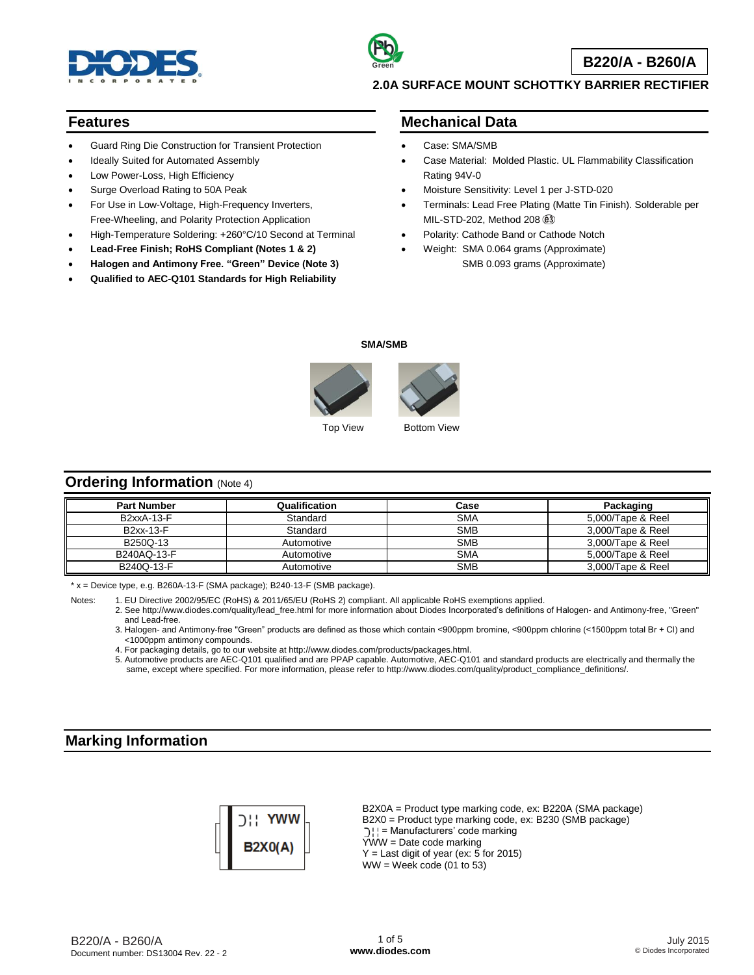

### **Features**

- Guard Ring Die Construction for Transient Protection
- Ideally Suited for Automated Assembly
- Low Power-Loss, High Efficiency
- Surge Overload Rating to 50A Peak
- For Use in Low-Voltage, High-Frequency Inverters, Free-Wheeling, and Polarity Protection Application
- High-Temperature Soldering: +260°C/10 Second at Terminal
- **Lead-Free Finish; RoHS Compliant (Notes 1 & 2)**
- **Halogen and Antimony Free. "Green" Device (Note 3)**
- **Qualified to AEC-Q101 Standards for High Reliability**

## **Mechanical Data**

- Case: SMA/SMB
- Case Material: Molded Plastic. UL Flammability Classification Rating 94V-0
- Moisture Sensitivity: Level 1 per J-STD-020
- Terminals: Lead Free Plating (Matte Tin Finish). Solderable per MIL-STD-202, Method 208
- Polarity: Cathode Band or Cathode Notch
- Weight: SMA 0.064 grams (Approximate) SMB 0.093 grams (Approximate)

### **SMA/SMB**



## **Ordering Information** (Note 4)

| <b>Part Number</b> | Qualification | Case       | Packaging         |
|--------------------|---------------|------------|-------------------|
| B2xxA-13-F         | Standard      | <b>SMA</b> | 5.000/Tape & Reel |
| B2xx-13-F          | Standard      | <b>SMB</b> | 3,000/Tape & Reel |
| B250Q-13           | Automotive    | <b>SMB</b> | 3,000/Tape & Reel |
| B240AQ-13-F        | Automotive    | <b>SMA</b> | 5,000/Tape & Reel |
| B240Q-13-F         | Automotive    | <b>SMB</b> | 3,000/Tape & Reel |

 $* x =$  Device type, e.g. B260A-13-F (SMA package); B240-13-F (SMB package).

Notes: 1. EU Directive 2002/95/EC (RoHS) & 2011/65/EU (RoHS 2) compliant. All applicable RoHS exemptions applied.

2. See http://www.diodes.com/quality/lead\_free.html for more information about Diodes Incorporated's definitions of Halogen- and Antimony-free, "Green" and Lead-free.

3. Halogen- and Antimony-free "Green" products are defined as those which contain <900ppm bromine, <900ppm chlorine (<1500ppm total Br + Cl) and <1000ppm antimony compounds.

4. For packaging details, go to our website at http://www.diodes.com/products/packages.html.

5. Automotive products are AEC-Q101 qualified and are PPAP capable. Automotive, AEC-Q101 and standard products are electrically and thermally the same, except where specified. For more information, please refer to http://www.diodes.com/quality/product\_compliance\_definitions/.

## **Marking Information**



B2X0A = Product type marking code, ex: B220A (SMA package) B2X0 = Product type marking code, ex: B230 (SMB package) ) | | = Manufacturers' code marking  $\overline{Y}WW =$  Date code marking  $Y =$  Last digit of year (ex: 5 for 2015)  $WW =$  Week code (01 to 53)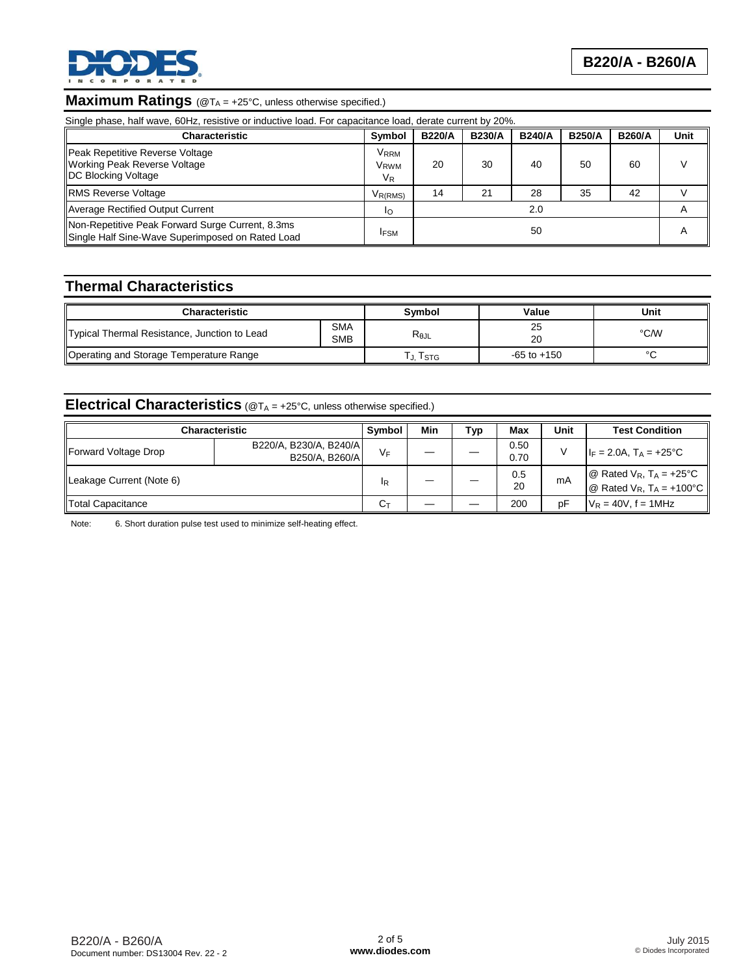

# **Maximum Ratings** (@T<sub>A</sub> = +25°C, unless otherwise specified.)

| Single phase, half wave, 60Hz, resistive or inductive load. For capacitance load, derate current by 20%. |                      |               |               |               |               |               |      |
|----------------------------------------------------------------------------------------------------------|----------------------|---------------|---------------|---------------|---------------|---------------|------|
| <b>Characteristic</b>                                                                                    | Symbol               | <b>B220/A</b> | <b>B230/A</b> | <b>B240/A</b> | <b>B250/A</b> | <b>B260/A</b> | Unit |
| Peak Repetitive Reverse Voltage<br>Working Peak Reverse Voltage<br><b>IDC Blocking Voltage</b>           | Vrrm<br>Vrwm<br>VR   | 20            | 30            | 40            | 50            | 60            |      |
| <b>RMS Reverse Voltage</b>                                                                               | V <sub>R</sub> (RMS) | 14            | 21            | 28            | 35            | 42            |      |
| Average Rectified Output Current                                                                         | Ιo                   |               |               | 2.0           |               |               | A    |
| Non-Repetitive Peak Forward Surge Current, 8.3ms<br>Single Half Sine-Wave Superimposed on Rated Load     |                      | 50            |               |               |               |               | A    |

## **Thermal Characteristics**

| <b>Characteristic</b>                        |                          | Symbol         | Value           | Unit |
|----------------------------------------------|--------------------------|----------------|-----------------|------|
| Typical Thermal Resistance, Junction to Lead | <b>SMA</b><br><b>SMB</b> | $R_{\theta$ JL | 25<br>20        | °C/W |
| Operating and Storage Temperature Range      |                          | Tstg           | $-65$ to $+150$ |      |

# **Electrical Characteristics** (@T<sub>A</sub> = +25°C, unless otherwise specified.)

| <b>Characteristic</b>    |                                          | <b>Symbol</b>  | Min | Тур | Max          | Unit | <b>Test Condition</b>                                                         |
|--------------------------|------------------------------------------|----------------|-----|-----|--------------|------|-------------------------------------------------------------------------------|
| Forward Voltage Drop     | B220/A, B230/A, B240/A<br>B250/A. B260/A | $V_F$          |     |     | 0.50<br>0.70 |      | $I_F = 2.0A$ , $T_A = +25^{\circ}C$                                           |
| Leakage Current (Note 6) |                                          | IR             |     |     | 0.5<br>20    | mA   | @ Rated $V_R$ , $T_A = +25^{\circ}C$<br>@ Rated $V_R$ , $T_A = +100^{\circ}C$ |
| Total Capacitance        |                                          | $C_{\text{T}}$ |     |     | 200          | pF   | $V_R = 40V$ , f = 1MHz                                                        |

Note: 6. Short duration pulse test used to minimize self-heating effect.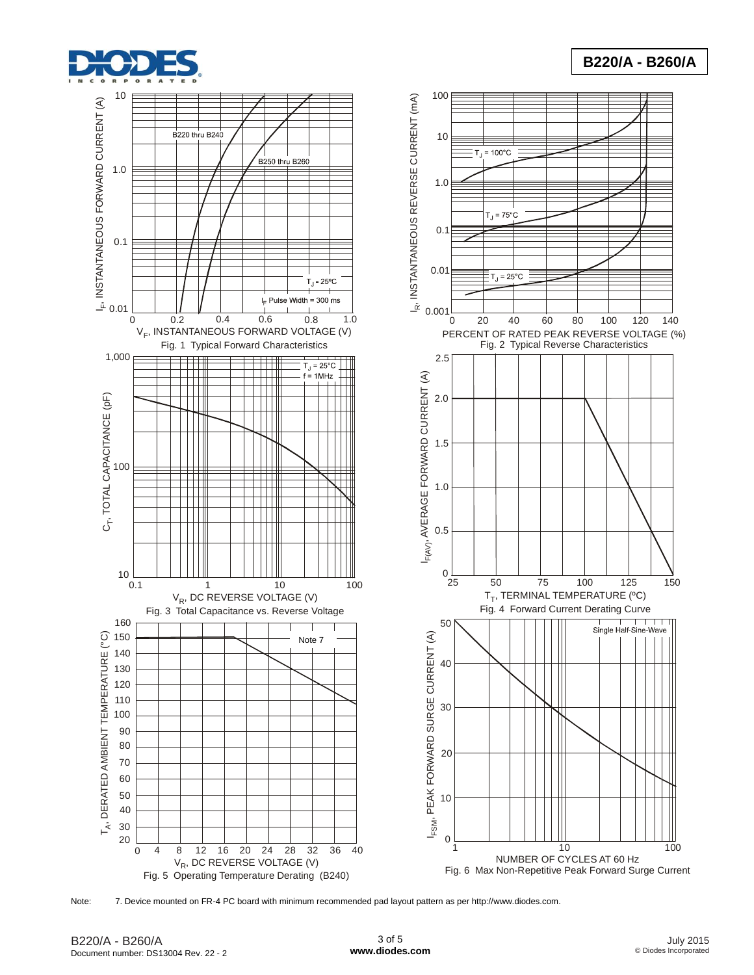





Note: 7. Device mounted on FR-4 PC board with minimum recommended pad layout pattern as per http://www.diodes.com.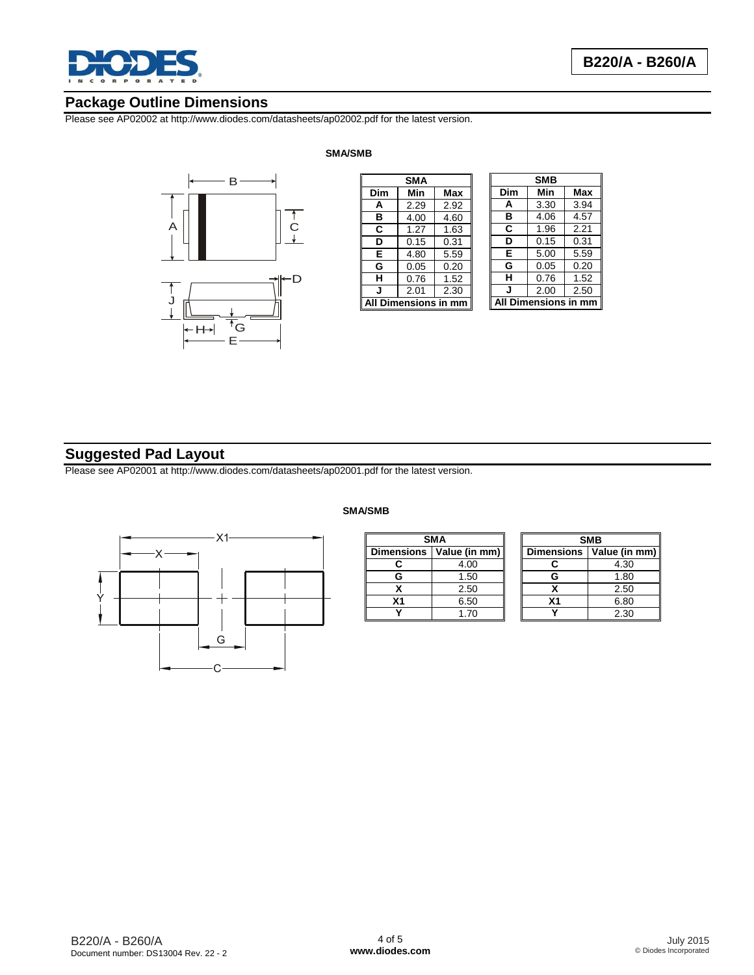

## **Package Outline Dimensions**

Please see AP02002 at http://www.diodes.com/datasheets/ap02002.pdf for the latest version.

**SMA/SMB**



|                      | <b>SMA</b> |      |                      | <b>SMB</b> |
|----------------------|------------|------|----------------------|------------|
| Dim                  | Min        | Max  | Dim                  | Min        |
| А                    | 2.29       | 2.92 | A                    | 3.30       |
| в                    | 4.00       | 4.60 | в                    | 4.06       |
| C                    | 1.27       | 1.63 | C                    | 1.96       |
| D                    | 0.15       | 0.31 | D                    | 0.15       |
| Е                    | 4.80       | 5.59 | E                    | 5.00       |
| G                    | 0.05       | 0.20 | G                    | 0.05       |
| н                    | 0.76       | 1.52 | н                    | 0.76       |
| J                    | 2.01       | 2.30 | J                    | 2.00       |
| All Dimensions in mm |            |      | <b>All Dimension</b> |            |
|                      |            |      |                      |            |

### **Dim Min Max A** 3.30 3.94 **B** 4.06 4.57 **C** 1.96 2.21 0.31 **E** 5.00 5.59 0.20 **H** 0.76 1.52 **J** 2.00 2.50 **All Dimensions in mm**

## **Suggested Pad Layout**

Please see AP02001 at http://www.diodes.com/datasheets/ap02001.pdf for the latest version.



## **SMA/SMB**Ē

| <b>SMA</b>                 |      |  |  |
|----------------------------|------|--|--|
| Dimensions   Value (in mm) |      |  |  |
| r.                         | 4.00 |  |  |
| G                          | 1.50 |  |  |
| x                          | 2.50 |  |  |
| X <sub>1</sub>             | 6.50 |  |  |
|                            | 1.70 |  |  |

| <b>SMB</b>        |               |  |  |
|-------------------|---------------|--|--|
| <b>Dimensions</b> | Value (in mm) |  |  |
| c                 | 4.30          |  |  |
| G                 | 1.80          |  |  |
| x                 | 2.50          |  |  |
| X <sub>1</sub>    | 6.80          |  |  |
|                   | 2.30          |  |  |